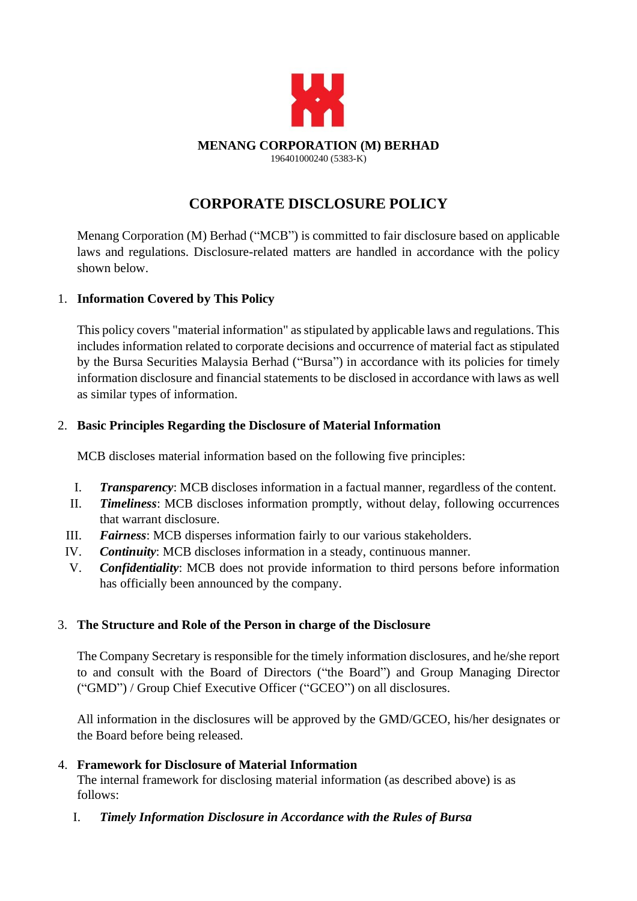

# **CORPORATE DISCLOSURE POLICY**

Menang Corporation (M) Berhad ("MCB") is committed to fair disclosure based on applicable laws and regulations. Disclosure-related matters are handled in accordance with the policy shown below.

## 1. **Information Covered by This Policy**

This policy covers "material information" as stipulated by applicable laws and regulations. This includes information related to corporate decisions and occurrence of material fact as stipulated by the Bursa Securities Malaysia Berhad ("Bursa") in accordance with its policies for timely information disclosure and financial statements to be disclosed in accordance with laws as well as similar types of information.

## 2. **Basic Principles Regarding the Disclosure of Material Information**

MCB discloses material information based on the following five principles:

- I. *Transparency*: MCB discloses information in a factual manner, regardless of the content.
- II. *Timeliness*: MCB discloses information promptly, without delay, following occurrences that warrant disclosure.
- III. *Fairness*: MCB disperses information fairly to our various stakeholders.
- IV. *Continuity*: MCB discloses information in a steady, continuous manner.
- V. *Confidentiality*: MCB does not provide information to third persons before information has officially been announced by the company.

# 3. **The Structure and Role of the Person in charge of the Disclosure**

The Company Secretary is responsible for the timely information disclosures, and he/she report to and consult with the Board of Directors ("the Board") and Group Managing Director ("GMD") / Group Chief Executive Officer ("GCEO") on all disclosures.

All information in the disclosures will be approved by the GMD/GCEO, his/her designates or the Board before being released.

# 4. **Framework for Disclosure of Material Information**

The internal framework for disclosing material information (as described above) is as follows:

I. *Timely Information Disclosure in Accordance with the Rules of Bursa*